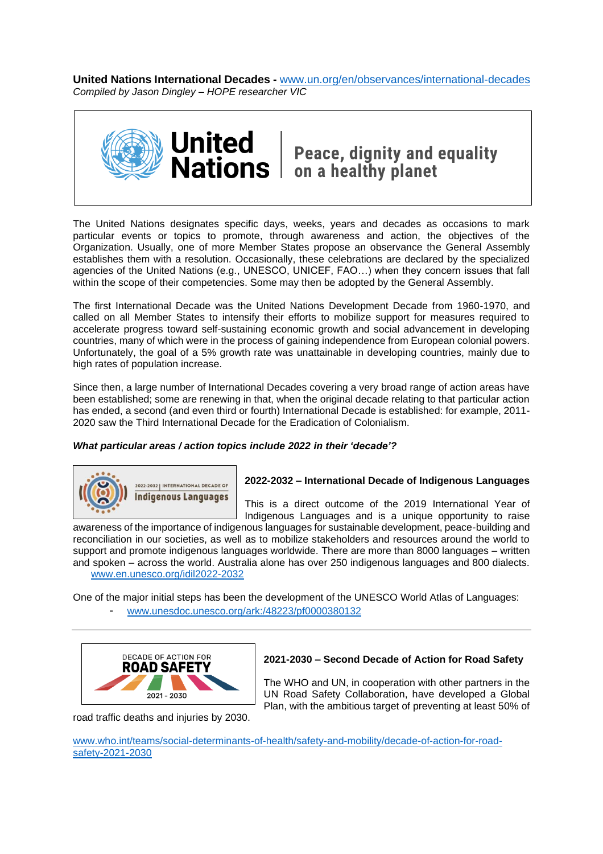**United Nations International Decades -** [www.un.org/en/observances/international-decades](http://www.un.org/en/observances/international-decades) *Compiled by Jason Dingley – HOPE researcher VIC*



United | Peace, dignity and equality<br>Nations | on a healthy planet

The United Nations designates specific days, weeks, years and decades as occasions to mark particular events or topics to promote, through awareness and action, the objectives of the Organization. Usually, one of more Member States propose an observance the General Assembly establishes them with a resolution. Occasionally, these celebrations are declared by the specialized agencies of the United Nations (e.g., UNESCO, UNICEF, FAO…) when they concern issues that fall within the scope of their competencies. Some may then be adopted by the General Assembly.

The first International Decade was the United Nations Development Decade from 1960-1970, and called on all Member States to intensify their efforts to mobilize support for measures required to accelerate progress toward self-sustaining economic growth and social advancement in developing countries, many of which were in the process of gaining independence from European colonial powers. Unfortunately, the goal of a 5% growth rate was unattainable in developing countries, mainly due to high rates of population increase.

Since then, a large number of International Decades covering a very broad range of action areas have been established; some are renewing in that, when the original decade relating to that particular action has ended, a second (and even third or fourth) International Decade is established: for example, 2011-2020 saw the Third International Decade for the Eradication of Colonialism.

# *What particular areas / action topics include 2022 in their 'decade'?*



# **2022-2032 – International Decade of Indigenous Languages**

This is a direct outcome of the 2019 International Year of Indigenous Languages and is a unique opportunity to raise

awareness of the importance of indigenous languages for sustainable development, peace-building and reconciliation in our societies, as well as to mobilize stakeholders and resources around the world to support and promote indigenous languages worldwide. There are more than 8000 languages – written and spoken – across the world. Australia alone has over 250 indigenous languages and 800 dialects. [www.en.unesco.org/idil2022-2032](http://www.en.unesco.org/idil2022-2032)

One of the major initial steps has been the development of the UNESCO World Atlas of Languages:

- [www.unesdoc.unesco.org/ark:/48223/pf0000380132](http://www.unesdoc.unesco.org/ark:/48223/pf0000380132)



# **2021-2030 – Second Decade of Action for Road Safety**

The WHO and UN, in cooperation with other partners in the UN Road Safety Collaboration, have developed a Global Plan, with the ambitious target of preventing at least 50% of

road traffic deaths and injuries by 2030.

[www.who.int/teams/social-determinants-of-health/safety-and-mobility/decade-of-action-for-road](http://www.who.int/teams/social-determinants-of-health/safety-and-mobility/decade-of-action-for-road-safety-2021-2030)[safety-2021-2030](http://www.who.int/teams/social-determinants-of-health/safety-and-mobility/decade-of-action-for-road-safety-2021-2030)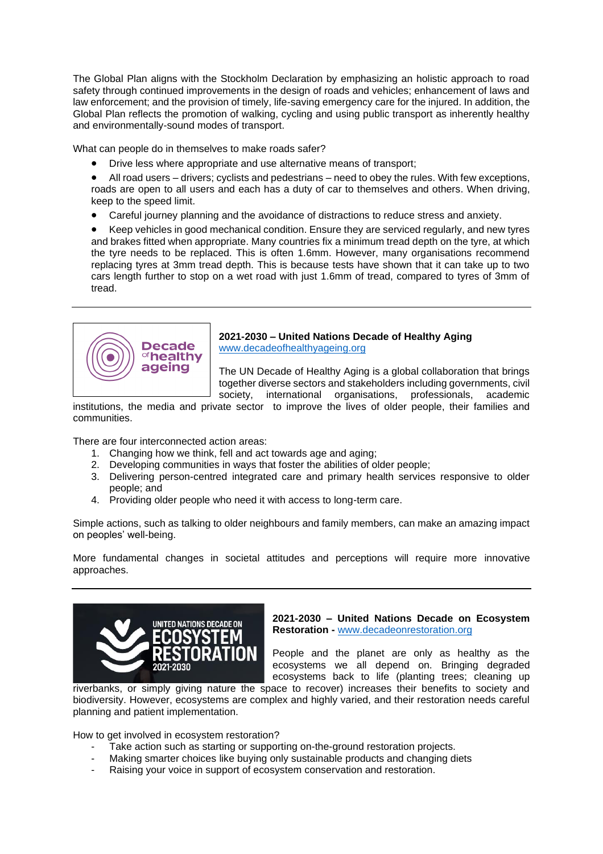The Global Plan aligns with the Stockholm Declaration by emphasizing an holistic approach to road safety through continued improvements in the design of roads and vehicles; enhancement of laws and law enforcement; and the provision of timely, life-saving emergency care for the injured. In addition, the Global Plan reflects the promotion of walking, cycling and using public transport as inherently healthy and environmentally-sound modes of transport.

What can people do in themselves to make roads safer?

• Drive less where appropriate and use alternative means of transport;

• All road users – drivers; cyclists and pedestrians – need to obey the rules. With few exceptions, roads are open to all users and each has a duty of car to themselves and others. When driving, keep to the speed limit.

• Careful journey planning and the avoidance of distractions to reduce stress and anxiety.

• Keep vehicles in good mechanical condition. Ensure they are serviced regularly, and new tyres and brakes fitted when appropriate. Many countries fix a minimum tread depth on the tyre, at which the tyre needs to be replaced. This is often 1.6mm. However, many organisations recommend replacing tyres at 3mm tread depth. This is because tests have shown that it can take up to two cars length further to stop on a wet road with just 1.6mm of tread, compared to tyres of 3mm of tread.



**2021-2030 – United Nations Decade of Healthy Aging**  [www.decadeofhealthyageing.org](http://www.decadeofhealthyageing.org/)

The UN Decade of Healthy Aging is a global collaboration that brings together diverse sectors and stakeholders including governments, civil society, international organisations, professionals, academic

institutions, the media and private sector to improve the lives of older people, their families and communities.

There are four interconnected action areas:

- 1. Changing how we think, fell and act towards age and aging;
- 2. Developing communities in ways that foster the abilities of older people;
- 3. Delivering person-centred integrated care and primary health services responsive to older people; and
- 4. Providing older people who need it with access to long-term care.

Simple actions, such as talking to older neighbours and family members, can make an amazing impact on peoples' well-being.

More fundamental changes in societal attitudes and perceptions will require more innovative approaches.



**2021-2030 – United Nations Decade on Ecosystem Restoration -** [www.decadeonrestoration.org](http://www.decadeonrestoration.org/)

People and the planet are only as healthy as the ecosystems we all depend on. Bringing degraded ecosystems back to life (planting trees; cleaning up

riverbanks, or simply giving nature the space to recover) increases their benefits to society and biodiversity. However, ecosystems are complex and highly varied, and their restoration needs careful planning and patient implementation.

How to get involved in ecosystem restoration?

- Take action such as starting or supporting on-the-ground restoration projects.
- Making smarter choices like buying only sustainable products and changing diets
- Raising your voice in support of ecosystem conservation and restoration.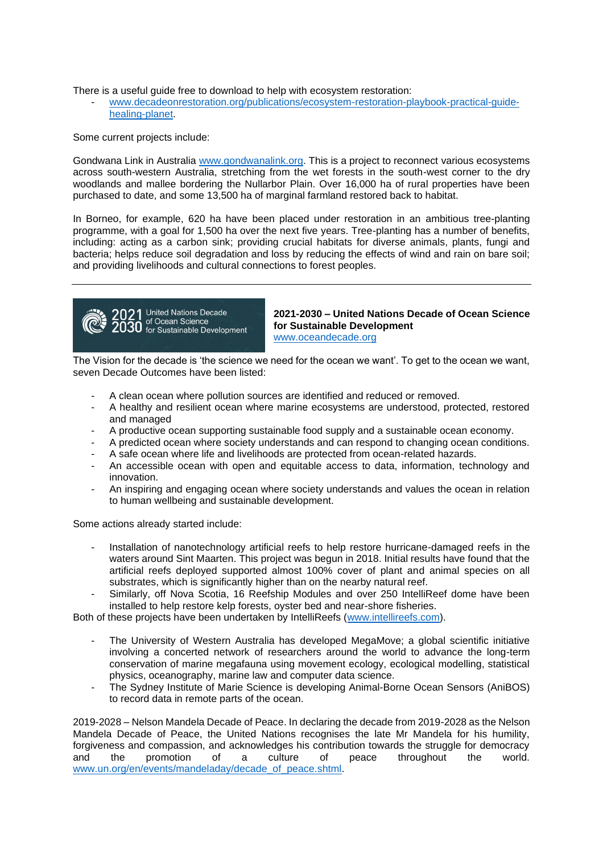There is a useful guide free to download to help with ecosystem restoration:

- [www.decadeonrestoration.org/publications/ecosystem-restoration-playbook-practical-guide](http://www.decadeonrestoration.org/publications/ecosystem-restoration-playbook-practical-guide-healing-planet)[healing-planet.](http://www.decadeonrestoration.org/publications/ecosystem-restoration-playbook-practical-guide-healing-planet)

Some current projects include:

Gondwana Link in Australia [www.gondwanalink.org.](http://www.gondwanalink.org/) This is a project to reconnect various ecosystems across south-western Australia, stretching from the wet forests in the south-west corner to the dry woodlands and mallee bordering the Nullarbor Plain. Over 16,000 ha of rural properties have been purchased to date, and some 13,500 ha of marginal farmland restored back to habitat.

In Borneo, for example, 620 ha have been placed under restoration in an ambitious tree-planting programme, with a goal for 1,500 ha over the next five years. Tree-planting has a number of benefits, including: acting as a carbon sink; providing crucial habitats for diverse animals, plants, fungi and bacteria; helps reduce soil degradation and loss by reducing the effects of wind and rain on bare soil; and providing livelihoods and cultural connections to forest peoples.



**2021-2030 – United Nations Decade of Ocean Science for Sustainable Development**  [www.oceandecade.org](http://www.oceandecade.org/)

The Vision for the decade is 'the science we need for the ocean we want'. To get to the ocean we want, seven Decade Outcomes have been listed:

- A clean ocean where pollution sources are identified and reduced or removed.
- A healthy and resilient ocean where marine ecosystems are understood, protected, restored and managed
- A productive ocean supporting sustainable food supply and a sustainable ocean economy.
- A predicted ocean where society understands and can respond to changing ocean conditions.
- A safe ocean where life and livelihoods are protected from ocean-related hazards.
- An accessible ocean with open and equitable access to data, information, technology and innovation.
- An inspiring and engaging ocean where society understands and values the ocean in relation to human wellbeing and sustainable development.

Some actions already started include:

- Installation of nanotechnology artificial reefs to help restore hurricane-damaged reefs in the waters around Sint Maarten. This project was begun in 2018. Initial results have found that the artificial reefs deployed supported almost 100% cover of plant and animal species on all substrates, which is significantly higher than on the nearby natural reef.
- Similarly, off Nova Scotia, 16 Reefship Modules and over 250 IntelliReef dome have been installed to help restore kelp forests, oyster bed and near-shore fisheries.

Both of these projects have been undertaken by IntelliReefs [\(www.intellireefs.com\)](http://www.intellireefs.com/).

- The University of Western Australia has developed MegaMove; a global scientific initiative involving a concerted network of researchers around the world to advance the long-term conservation of marine megafauna using movement ecology, ecological modelling, statistical physics, oceanography, marine law and computer data science.
- The Sydney Institute of Marie Science is developing Animal-Borne Ocean Sensors (AniBOS) to record data in remote parts of the ocean.

2019-2028 – Nelson Mandela Decade of Peace. In declaring the decade from 2019-2028 as the Nelson Mandela Decade of Peace, the United Nations recognises the late Mr Mandela for his humility, forgiveness and compassion, and acknowledges his contribution towards the struggle for democracy and the promotion of a culture of peace throughout the world. [www.un.org/en/events/mandeladay/decade\\_of\\_peace.shtml.](http://www.un.org/en/events/mandeladay/decade_of_peace.shtml)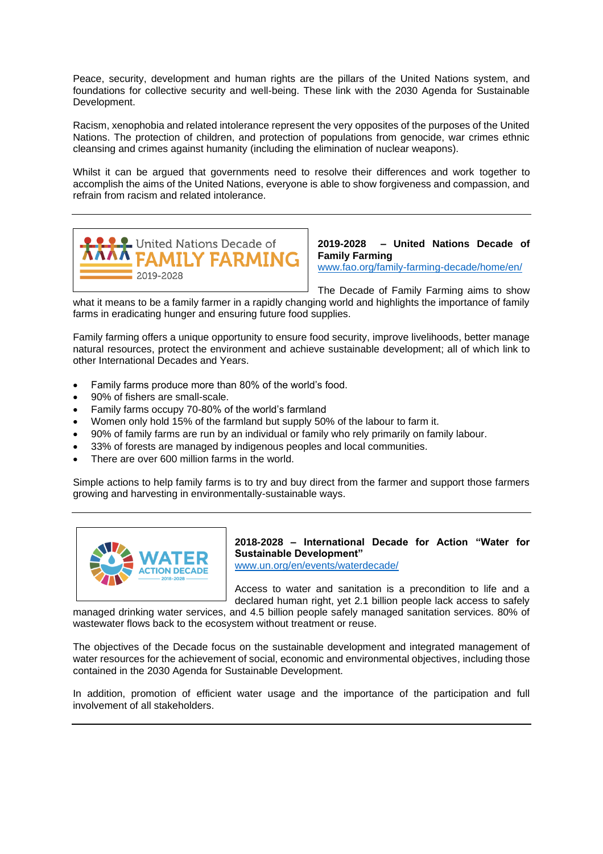Peace, security, development and human rights are the pillars of the United Nations system, and foundations for collective security and well-being. These link with the 2030 Agenda for Sustainable Development.

Racism, xenophobia and related intolerance represent the very opposites of the purposes of the United Nations. The protection of children, and protection of populations from genocide, war crimes ethnic cleansing and crimes against humanity (including the elimination of nuclear weapons).

Whilst it can be argued that governments need to resolve their differences and work together to accomplish the aims of the United Nations, everyone is able to show forgiveness and compassion, and refrain from racism and related intolerance.



**2019-2028 – United Nations Decade of Family Farming**

[www.fao.org/family-farming-decade/home/en/](http://www.fao.org/family-farming-decade/home/en/)

The Decade of Family Farming aims to show

what it means to be a family farmer in a rapidly changing world and highlights the importance of family farms in eradicating hunger and ensuring future food supplies.

Family farming offers a unique opportunity to ensure food security, improve livelihoods, better manage natural resources, protect the environment and achieve sustainable development; all of which link to other International Decades and Years.

- Family farms produce more than 80% of the world's food.
- 90% of fishers are small-scale.
- Family farms occupy 70-80% of the world's farmland
- Women only hold 15% of the farmland but supply 50% of the labour to farm it.
- 90% of family farms are run by an individual or family who rely primarily on family labour.
- 33% of forests are managed by indigenous peoples and local communities.
- There are over 600 million farms in the world.

Simple actions to help family farms is to try and buy direct from the farmer and support those farmers growing and harvesting in environmentally-sustainable ways.



**2018-2028 – International Decade for Action "Water for Sustainable Development"**

[www.un.org/en/events/waterdecade/](http://www.un.org/en/events/waterdecade/)

Access to water and sanitation is a precondition to life and a declared human right, yet 2.1 billion people lack access to safely

managed drinking water services, and 4.5 billion people safely managed sanitation services. 80% of wastewater flows back to the ecosystem without treatment or reuse.

The objectives of the Decade focus on the sustainable development and integrated management of water resources for the achievement of social, economic and environmental objectives, including those contained in the 2030 Agenda for Sustainable Development.

In addition, promotion of efficient water usage and the importance of the participation and full involvement of all stakeholders.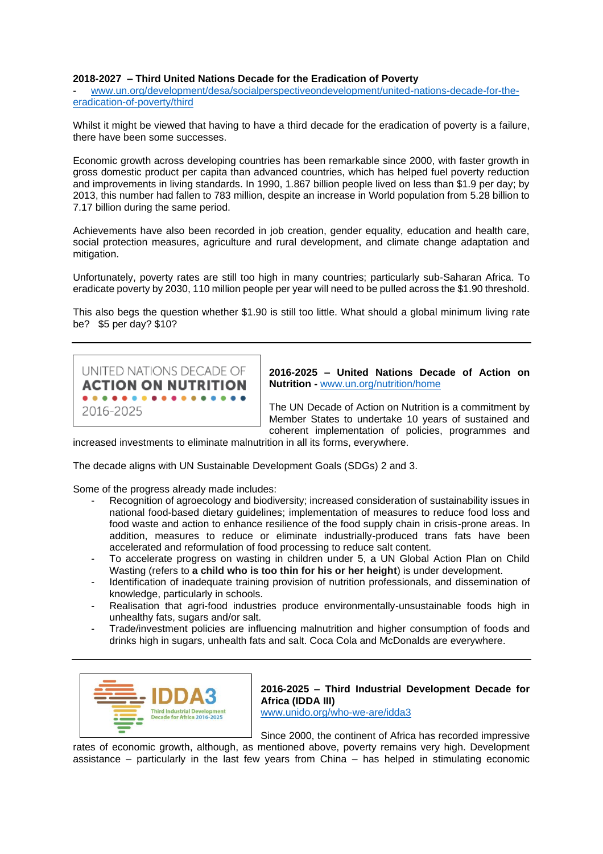### **2018-2027 – Third United Nations Decade for the Eradication of Poverty**

- [www.un.org/development/desa/socialperspectiveondevelopment/united-nations-decade-for-the](http://www.un.org/development/desa/socialperspectiveondevelopment/united-nations-decade-for-the-eradication-of-poverty/third)[eradication-of-poverty/third](http://www.un.org/development/desa/socialperspectiveondevelopment/united-nations-decade-for-the-eradication-of-poverty/third)

Whilst it might be viewed that having to have a third decade for the eradication of poverty is a failure, there have been some successes.

Economic growth across developing countries has been remarkable since 2000, with faster growth in gross domestic product per capita than advanced countries, which has helped fuel poverty reduction and improvements in living standards. In 1990, 1.867 billion people lived on less than \$1.9 per day; by 2013, this number had fallen to 783 million, despite an increase in World population from 5.28 billion to 7.17 billion during the same period.

Achievements have also been recorded in job creation, gender equality, education and health care, social protection measures, agriculture and rural development, and climate change adaptation and mitigation.

Unfortunately, poverty rates are still too high in many countries; particularly sub-Saharan Africa. To eradicate poverty by 2030, 110 million people per year will need to be pulled across the \$1.90 threshold.

This also begs the question whether \$1.90 is still too little. What should a global minimum living rate be? \$5 per day? \$10?



**2016-2025 – United Nations Decade of Action on Nutrition -** [www.un.org/nutrition/home](http://www.un.org/nutrition/home)

The UN Decade of Action on Nutrition is a commitment by Member States to undertake 10 years of sustained and coherent implementation of policies, programmes and

increased investments to eliminate malnutrition in all its forms, everywhere.

The decade aligns with UN Sustainable Development Goals (SDGs) 2 and 3.

Some of the progress already made includes:

- Recognition of agroecology and biodiversity; increased consideration of sustainability issues in national food-based dietary guidelines; implementation of measures to reduce food loss and food waste and action to enhance resilience of the food supply chain in crisis-prone areas. In addition, measures to reduce or eliminate industrially-produced trans fats have been accelerated and reformulation of food processing to reduce salt content.
- To accelerate progress on wasting in children under 5, a UN Global Action Plan on Child Wasting (refers to **a child who is too thin for his or her height**) is under development.
- Identification of inadequate training provision of nutrition professionals, and dissemination of knowledge, particularly in schools.
- Realisation that agri-food industries produce environmentally-unsustainable foods high in unhealthy fats, sugars and/or salt.
- Trade/investment policies are influencing malnutrition and higher consumption of foods and drinks high in sugars, unhealth fats and salt. Coca Cola and McDonalds are everywhere.



**2016-2025 – Third Industrial Development Decade for Africa (IDDA III)** [www.unido.org/who-we-are/idda3](http://www.unido.org/who-we-are/idda3)

Since 2000, the continent of Africa has recorded impressive

rates of economic growth, although, as mentioned above, poverty remains very high. Development assistance – particularly in the last few years from China – has helped in stimulating economic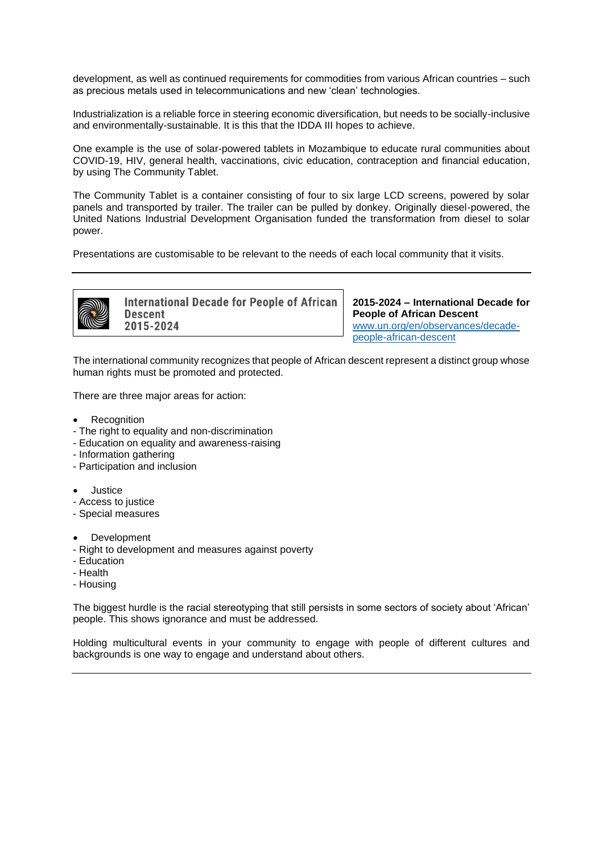development, as well as continued requirements for commodities from various African countries – such as precious metals used in telecommunications and new 'clean' technologies.

Industrialization is a reliable force in steering economic diversification, but needs to be socially-inclusive and environmentally-sustainable. It is this that the IDDA III hopes to achieve.

One example is the use of solar-powered tablets in Mozambique to educate rural communities about COVID-19, HIV, general health, vaccinations, civic education, contraception and financial education, by using The Community Tablet.

The Community Tablet is a container consisting of four to six large LCD screens, powered by solar panels and transported by trailer. The trailer can be pulled by donkey. Originally diesel-powered, the United Nations Industrial Development Organisation funded the transformation from diesel to solar power.

Presentations are customisable to be relevant to the needs of each local community that it visits.



**International Decade for People of African Descent** 2015-2024

**2015-2024 – International Decade for People of African Descent** [www.un.org/en/observances/decade](http://www.un.org/en/observances/decade-people-african-descent)[people-african-descent](http://www.un.org/en/observances/decade-people-african-descent)

The international community recognizes that people of African descent represent a distinct group whose human rights must be promoted and protected.

There are three major areas for action:

- **Recognition**
- The right to equality and non-discrimination
- Education on equality and awareness-raising
- Information gathering
- Participation and inclusion
- Justice
- Access to justice
- Special measures
- **Development**
- Right to development and measures against poverty
- Education
- Health
- Housing

The biggest hurdle is the racial stereotyping that still persists in some sectors of society about 'African' people. This shows ignorance and must be addressed.

Holding multicultural events in your community to engage with people of different cultures and backgrounds is one way to engage and understand about others.